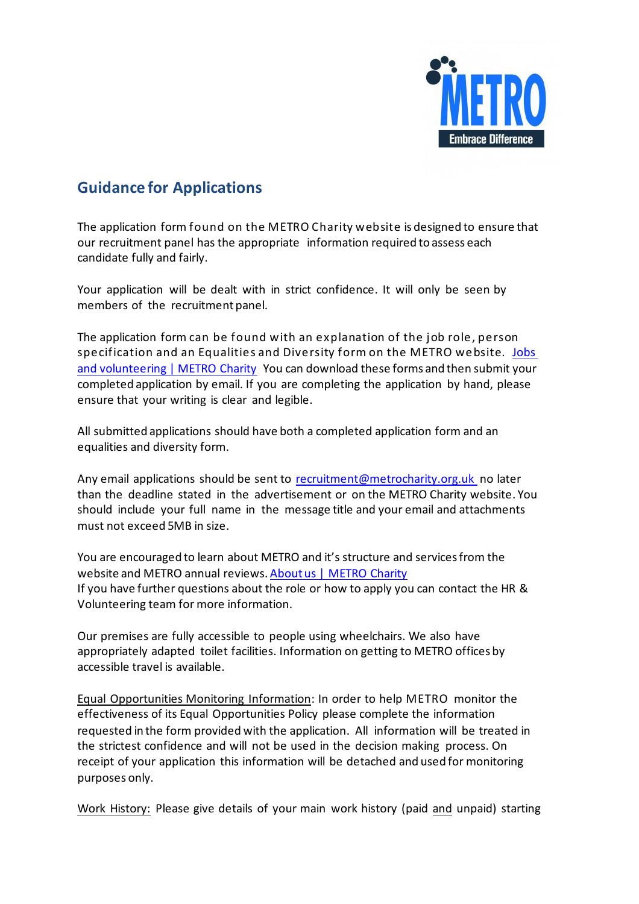

## **Guidance for Applications**

The application form found on the METRO Charity website is designed to ensure that our recruitment panel has the appropriate information required to assess each candidate fully and fairly.

Your application will be dealt with in strict confidence. It will only be seen by members of the recruitment panel.

The application form can be found with an explanation of the job role, person specification and an Equalities and Diversity form on the METRO website. [Jobs](https://metrocharity.org.uk/jobs)  [and volunteering | METRO Charity](https://metrocharity.org.uk/jobs) You can download these forms and then submit your completed application by email. If you are completing the application by hand, please ensure that your writing is clear and legible.

All submitted applications should have both a completed application form and an equalities and diversity form.

Any email applications should be sent to recruitment@metrocharity.org.uk no later than the deadline stated in the advertisement or on the METRO Charity website. You should include your full name in the message title and your email and attachments must not exceed 5MB in size.

You are encouraged to learn about METRO and it's structure and services from the website and METRO annual reviews[. About us | METRO Charity](https://metrocharity.org.uk/about-us) If you have further questions about the role or how to apply you can contact the HR & Volunteering team for more information.

Our premises are fully accessible to people using wheelchairs. We also have appropriately adapted toilet facilities. Information on getting to METRO offices by accessible travel is available.

Equal Opportunities Monitoring Information: In order to help METRO monitor the effectiveness of its Equal Opportunities Policy please complete the information requested in the form provided with the application. All information will be treated in the strictest confidence and will not be used in the decision making process. On receipt of your application this information will be detached and used for monitoring purposes only.

Work History: Please give details of your main work history (paid and unpaid) starting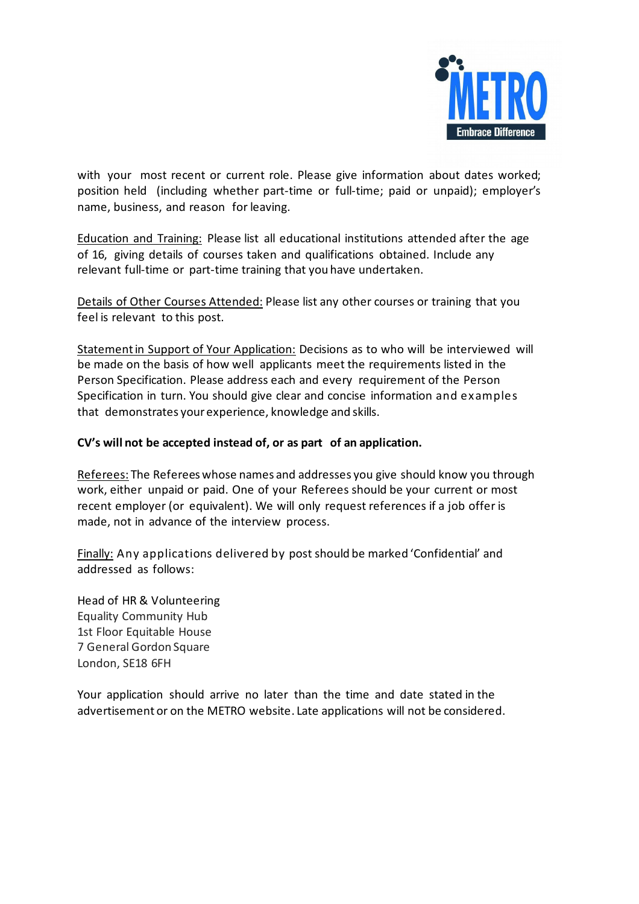

with your most recent or current role. Please give information about dates worked; position held (including whether part-time or full-time; paid or unpaid); employer's name, business, and reason for leaving.

Education and Training: Please list all educational institutions attended after the age of 16, giving details of courses taken and qualifications obtained. Include any relevant full-time or part-time training that you have undertaken.

Details of Other Courses Attended: Please list any other courses or training that you feel is relevant to this post.

Statementin Support of Your Application: Decisions as to who will be interviewed will be made on the basis of how well applicants meet the requirements listed in the Person Specification. Please address each and every requirement of the Person Specification in turn. You should give clear and concise information and examples that demonstrates yourexperience, knowledge and skills.

## **CV's will not be accepted instead of, or as part of an application.**

Referees: The Referees whose names and addresses you give should know you through work, either unpaid or paid. One of your Referees should be your current or most recent employer (or equivalent). We will only request references if a job offer is made, not in advance of the interview process.

Finally: Any applications delivered by post should be marked 'Confidential' and addressed as follows:

Head of HR & Volunteering Equality Community Hub 1st Floor Equitable House 7 General Gordon Square London, SE18 6FH

Your application should arrive no later than the time and date stated in the advertisement or on the METRO website. Late applications will not be considered.